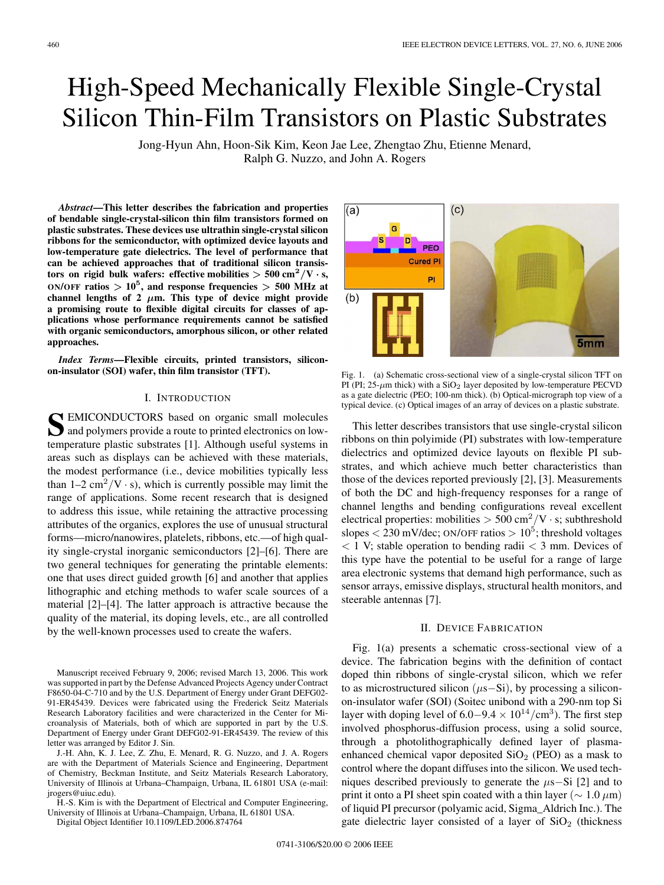# High-Speed Mechanically Flexible Single-Crystal Silicon Thin-Film Transistors on Plastic Substrates

Jong-Hyun Ahn, Hoon-Sik Kim, Keon Jae Lee, Zhengtao Zhu, Etienne Menard, Ralph G. Nuzzo, and John A. Rogers

*Abstract***—This letter describes the fabrication and properties of bendable single-crystal-silicon thin film transistors formed on plastic substrates. These devices use ultrathin single-crystal silicon ribbons for the semiconductor, with optimized device layouts and low-temperature gate dielectrics. The level of performance that can be achieved approaches that of traditional silicon transistors on rigid bulk wafers: effective mobilities**  $> 500 \text{ cm}^2/\text{V} \cdot \text{s}$ **,**  $ON/OFF$  **ratios**  $> 10^5$ , and **response frequencies**  $> 500$  MHz at channel lengths of 2  $\mu$ m. This type of device might provide **a promising route to flexible digital circuits for classes of applications whose performance requirements cannot be satisfied with organic semiconductors, amorphous silicon, or other related approaches.**

*Index Terms***—Flexible circuits, printed transistors, siliconon-insulator (SOI) wafer, thin film transistor (TFT).**

### I. INTRODUCTION

S<br> **S** EMICONDUCTORS based on organic small molecules<br>
and polymers provide a route to printed electronics on lowtemperature plastic substrates [1]. Although useful systems in areas such as displays can be achieved with these materials, the modest performance (i.e., device mobilities typically less than  $1-2$  cm<sup>2</sup>/V · s), which is currently possible may limit the range of applications. Some recent research that is designed to address this issue, while retaining the attractive processing attributes of the organics, explores the use of unusual structural forms—micro/nanowires, platelets, ribbons, etc.—of high quality single-crystal inorganic semiconductors [2]–[6]. There are two general techniques for generating the printable elements: one that uses direct guided growth [6] and another that applies lithographic and etching methods to wafer scale sources of a material [2]–[4]. The latter approach is attractive because the quality of the material, its doping levels, etc., are all controlled by the well-known processes used to create the wafers.

Manuscript received February 9, 2006; revised March 13, 2006. This work was supported in part by the Defense Advanced Projects Agency under Contract F8650-04-C-710 and by the U.S. Department of Energy under Grant DEFG02- 91-ER45439. Devices were fabricated using the Frederick Seitz Materials Research Laboratory facilities and were characterized in the Center for Microanalysis of Materials, both of which are supported in part by the U.S. Department of Energy under Grant DEFG02-91-ER45439. The review of this letter was arranged by Editor J. Sin.

J.-H. Ahn, K. J. Lee, Z. Zhu, E. Menard, R. G. Nuzzo, and J. A. Rogers are with the Department of Materials Science and Engineering, Department of Chemistry, Beckman Institute, and Seitz Materials Research Laboratory, University of Illinois at Urbana–Champaign, Urbana, IL 61801 USA (e-mail: jrogers@uiuc.edu).

H.-S. Kim is with the Department of Electrical and Computer Engineering, University of Illinois at Urbana–Champaign, Urbana, IL 61801 USA.

Digital Object Identifier 10.1109/LED.2006.874764



Fig. 1. (a) Schematic cross-sectional view of a single-crystal silicon TFT on PI (PI;  $25-\mu m$  thick) with a  $SiO<sub>2</sub>$  layer deposited by low-temperature PECVD as a gate dielectric (PEO; 100-nm thick). (b) Optical-micrograph top view of a typical device. (c) Optical images of an array of devices on a plastic substrate.

This letter describes transistors that use single-crystal silicon ribbons on thin polyimide (PI) substrates with low-temperature dielectrics and optimized device layouts on flexible PI substrates, and which achieve much better characteristics than those of the devices reported previously [2], [3]. Measurements of both the DC and high-frequency responses for a range of channel lengths and bending configurations reveal excellent electrical properties: mobilities  $> 500 \text{ cm}^2/\text{V} \cdot \text{s}$ ; subthreshold slopes  $<$  230 mV/dec; ON/OFF ratios  $> 10^5$ ; threshold voltages  $<$  1 V; stable operation to bending radii  $<$  3 mm. Devices of this type have the potential to be useful for a range of large area electronic systems that demand high performance, such as sensor arrays, emissive displays, structural health monitors, and steerable antennas [7].

#### II. DEVICE FABRICATION

Fig. 1(a) presents a schematic cross-sectional view of a device. The fabrication begins with the definition of contact doped thin ribbons of single-crystal silicon, which we refer to as microstructured silicon  $(\mu s-Si)$ , by processing a siliconon-insulator wafer (SOI) (Soitec unibond with a 290-nm top Si layer with doping level of 6.0−9.4  $\times$  10<sup>14</sup>/cm<sup>3</sup>). The first step involved phosphorus-diffusion process, using a solid source, through a photolithographically defined layer of plasmaenhanced chemical vapor deposited  $SiO<sub>2</sub>$  (PEO) as a mask to control where the dopant diffuses into the silicon. We used techniques described previously to generate the  $\mu$ s−Si [2] and to print it onto a PI sheet spin coated with a thin layer ( $\sim 1.0 \ \mu m$ ) of liquid PI precursor (polyamic acid, Sigma\_Aldrich Inc.). The gate dielectric layer consisted of a layer of  $SiO<sub>2</sub>$  (thickness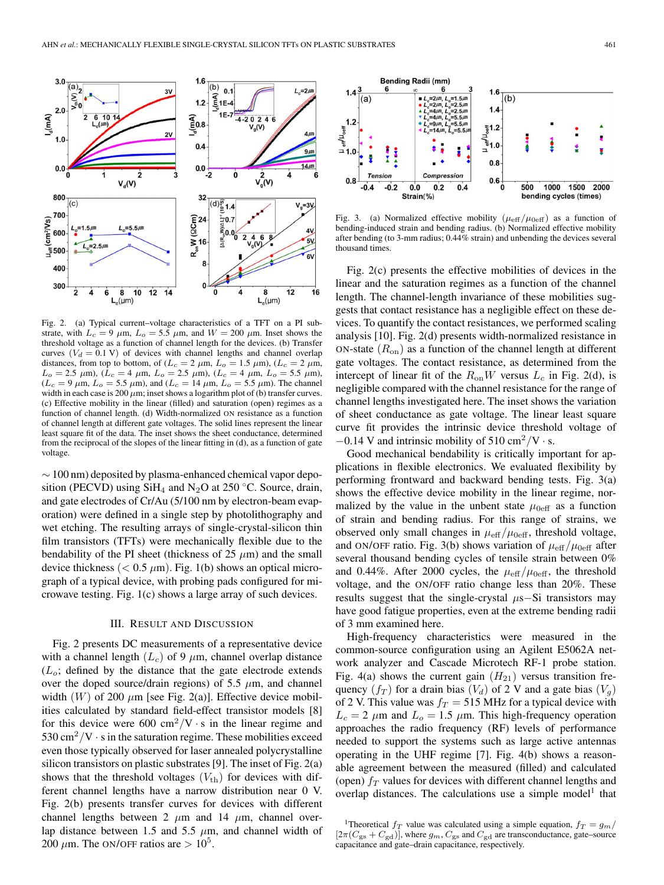

Fig. 2. (a) Typical current–voltage characteristics of a TFT on a PI substrate, with  $L_c = 9 \mu m$ ,  $L_o = 5.5 \mu m$ , and  $W = 200 \mu m$ . Inset shows the threshold voltage as a function of channel length for the devices. (b) Transfer curves  $(V_d = 0.1 \text{ V})$  of devices with channel lengths and channel overlap distances, from top to bottom, of ( $L_c = 2 \mu$ m,  $L_o = 1.5 \mu$ m), ( $L_c = 2 \mu$ m,  $L_o = 2.5 \mu \text{m}$ ,  $(L_c = 4 \mu \text{m}, L_o = 2.5 \mu \text{m})$ ,  $(L_c = 4 \mu \text{m}, L_o = 5.5 \mu \text{m})$ ,  $(L_c = 9 \mu m, L_o = 5.5 \mu m)$ , and  $(L_c = 14 \mu m, L_o = 5.5 \mu m)$ . The channel width in each case is 200  $\mu$ m; inset shows a logarithm plot of (b) transfer curves. (c) Effective mobility in the linear (filled) and saturation (open) regimes as a function of channel length. (d) Width-normalized ON resistance as a function of channel length at different gate voltages. The solid lines represent the linear least square fit of the data. The inset shows the sheet conductance, determined from the reciprocal of the slopes of the linear fitting in (d), as a function of gate voltage.

 $\sim$  100 nm) deposited by plasma-enhanced chemical vapor deposition (PECVD) using  $SiH_4$  and N<sub>2</sub>O at 250 °C. Source, drain, and gate electrodes of Cr/Au (5/100 nm by electron-beam evaporation) were defined in a single step by photolithography and wet etching. The resulting arrays of single-crystal-silicon thin film transistors (TFTs) were mechanically flexible due to the bendability of the PI sheet (thickness of 25  $\mu$ m) and the small device thickness ( $< 0.5 \mu m$ ). Fig. 1(b) shows an optical micrograph of a typical device, with probing pads configured for microwave testing. Fig. 1(c) shows a large array of such devices.

### III. RESULT AND DISCUSSION

Fig. 2 presents DC measurements of a representative device with a channel length  $(L_c)$  of 9  $\mu$ m, channel overlap distance  $(L_0;$  defined by the distance that the gate electrode extends over the doped source/drain regions) of 5.5  $\mu$ m, and channel width  $(W)$  of 200  $\mu$ m [see Fig. 2(a)]. Effective device mobilities calculated by standard field-effect transistor models [8] for this device were 600 cm<sup>2</sup>/V  $\cdot$  s in the linear regime and  $530 \text{ cm}^2/\text{V} \cdot \text{s}$  in the saturation regime. These mobilities exceed even those typically observed for laser annealed polycrystalline silicon transistors on plastic substrates [9]. The inset of Fig. 2(a) shows that the threshold voltages  $(V_{\text{th}})$  for devices with different channel lengths have a narrow distribution near 0 V. Fig. 2(b) presents transfer curves for devices with different channel lengths between 2  $\mu$ m and 14  $\mu$ m, channel overlap distance between 1.5 and 5.5  $\mu$ m, and channel width of 200  $\mu$ m. The ON/OFF ratios are  $> 10^5$ .



Fig. 3. (a) Normalized effective mobility  $(\mu_{\text{eff}}/\mu_{0\text{eff}})$  as a function of bending-induced strain and bending radius. (b) Normalized effective mobility after bending (to 3-mm radius; 0.44% strain) and unbending the devices several thousand times.

Fig. 2(c) presents the effective mobilities of devices in the linear and the saturation regimes as a function of the channel length. The channel-length invariance of these mobilities suggests that contact resistance has a negligible effect on these devices. To quantify the contact resistances, we performed scaling analysis [10]. Fig. 2(d) presents width-normalized resistance in ON-state  $(R_{on})$  as a function of the channel length at different gate voltages. The contact resistance, as determined from the intercept of linear fit of the  $R_{on}W$  versus  $L_c$  in Fig. 2(d), is negligible compared with the channel resistance for the range of channel lengths investigated here. The inset shows the variation of sheet conductance as gate voltage. The linear least square curve fit provides the intrinsic device threshold voltage of  $-0.14$  V and intrinsic mobility of 510 cm<sup>2</sup>/V · s.

Good mechanical bendability is critically important for applications in flexible electronics. We evaluated flexibility by performing frontward and backward bending tests. Fig. 3(a) shows the effective device mobility in the linear regime, normalized by the value in the unbent state  $\mu_{0 \text{eff}}$  as a function of strain and bending radius. For this range of strains, we observed only small changes in  $\mu_{\text{eff}}/\mu_{\text{0eff}}$ , threshold voltage, and ON/OFF ratio. Fig. 3(b) shows variation of  $\mu_{\text{eff}}/\mu_{0 \text{eff}}$  after several thousand bending cycles of tensile strain between 0% and 0.44%. After 2000 cycles, the  $\mu_{\text{eff}}/\mu_{\text{0eff}}$ , the threshold voltage, and the ON/OFF ratio change less than 20%. These results suggest that the single-crystal  $\mu$ s–Si transistors may have good fatigue properties, even at the extreme bending radii of 3 mm examined here.

High-frequency characteristics were measured in the common-source configuration using an Agilent E5062A network analyzer and Cascade Microtech RF-1 probe station. Fig. 4(a) shows the current gain  $(H_{21})$  versus transition frequency  $(f_T)$  for a drain bias  $(V_d)$  of 2 V and a gate bias  $(V_q)$ of 2 V. This value was  $f_T = 515$  MHz for a typical device with  $L_c = 2 \mu m$  and  $L_o = 1.5 \mu m$ . This high-frequency operation approaches the radio frequency (RF) levels of performance needed to support the systems such as large active antennas operating in the UHF regime [7]. Fig. 4(b) shows a reasonable agreement between the measured (filled) and calculated (open)  $f<sub>T</sub>$  values for devices with different channel lengths and overlap distances. The calculations use a simple model<sup>1</sup> that

<sup>&</sup>lt;sup>1</sup>Theoretical  $f_T$  value was calculated using a simple equation,  $f_T = g_m/$  $[2\pi(C_{\text{gs}} + C_{\text{gd}})]$ , where  $g_m, C_{\text{gs}}$  and  $C_{\text{gd}}$  are transconductance, gate–source capacitance and gate–drain capacitance, respectively.